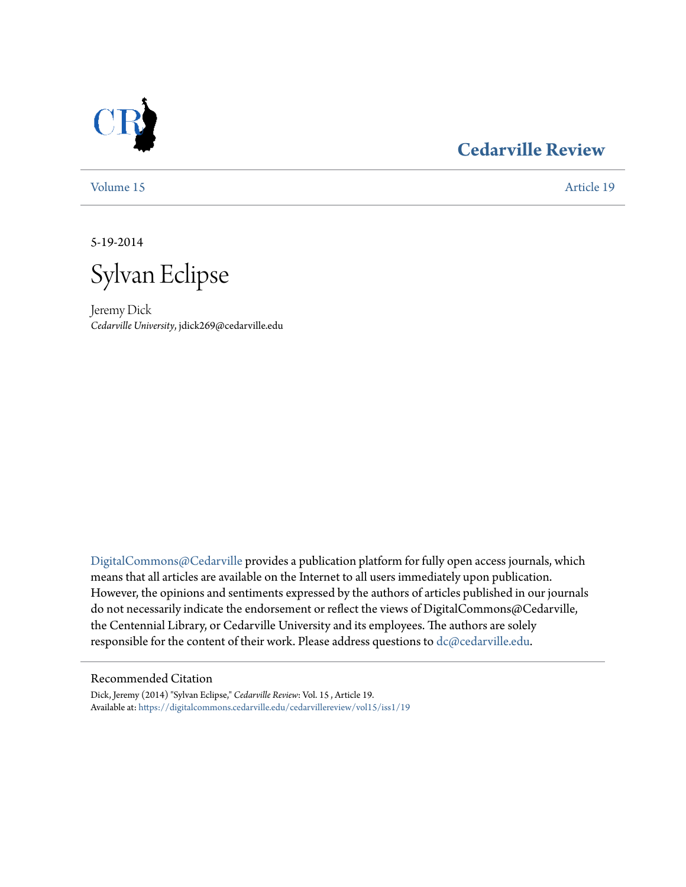

# **[Cedarville Review](https://digitalcommons.cedarville.edu/cedarvillereview?utm_source=digitalcommons.cedarville.edu%2Fcedarvillereview%2Fvol15%2Fiss1%2F19&utm_medium=PDF&utm_campaign=PDFCoverPages)**

[Volume 15](https://digitalcommons.cedarville.edu/cedarvillereview/vol15?utm_source=digitalcommons.cedarville.edu%2Fcedarvillereview%2Fvol15%2Fiss1%2F19&utm_medium=PDF&utm_campaign=PDFCoverPages) [Article 19](https://digitalcommons.cedarville.edu/cedarvillereview/vol15/iss1/19?utm_source=digitalcommons.cedarville.edu%2Fcedarvillereview%2Fvol15%2Fiss1%2F19&utm_medium=PDF&utm_campaign=PDFCoverPages)

5-19-2014

Sylvan Eclipse

Jeremy Dick *Cedarville University*, jdick269@cedarville.edu

[DigitalCommons@Cedarville](http://digitalcommons.cedarville.edu) provides a publication platform for fully open access journals, which means that all articles are available on the Internet to all users immediately upon publication. However, the opinions and sentiments expressed by the authors of articles published in our journals do not necessarily indicate the endorsement or reflect the views of DigitalCommons@Cedarville, the Centennial Library, or Cedarville University and its employees. The authors are solely responsible for the content of their work. Please address questions to [dc@cedarville.edu](mailto:dc@cedarville.edu).

### Recommended Citation

Dick, Jeremy (2014) "Sylvan Eclipse," *Cedarville Review*: Vol. 15 , Article 19. Available at: [https://digitalcommons.cedarville.edu/cedarvillereview/vol15/iss1/19](https://digitalcommons.cedarville.edu/cedarvillereview/vol15/iss1/19?utm_source=digitalcommons.cedarville.edu%2Fcedarvillereview%2Fvol15%2Fiss1%2F19&utm_medium=PDF&utm_campaign=PDFCoverPages)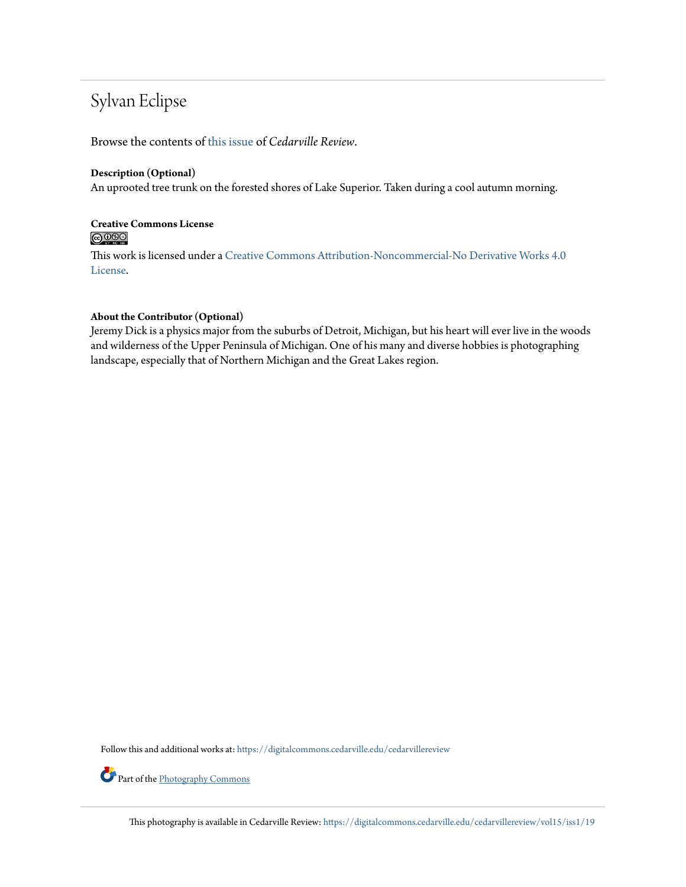# Sylvan Eclipse

Browse the contents of [this issue](https://digitalcommons.cedarville.edu/cedarvillereview/vol15/iss1) of *Cedarville Review*.

#### **Description (Optional)**

An uprooted tree trunk on the forested shores of Lake Superior. Taken during a cool autumn morning.

# **Creative Commons License**  $\bigcirc$   $\circ$

This work is licensed under a [Creative Commons Attribution-Noncommercial-No Derivative Works 4.0](http://creativecommons.org/licenses/by-nc-nd/4.0/) [License.](http://creativecommons.org/licenses/by-nc-nd/4.0/)

## **About the Contributor (Optional)**

Jeremy Dick is a physics major from the suburbs of Detroit, Michigan, but his heart will ever live in the woods and wilderness of the Upper Peninsula of Michigan. One of his many and diverse hobbies is photographing landscape, especially that of Northern Michigan and the Great Lakes region.

Follow this and additional works at: [https://digitalcommons.cedarville.edu/cedarvillereview](https://digitalcommons.cedarville.edu/cedarvillereview?utm_source=digitalcommons.cedarville.edu%2Fcedarvillereview%2Fvol15%2Fiss1%2F19&utm_medium=PDF&utm_campaign=PDFCoverPages)

Part of the [Photography Commons](http://network.bepress.com/hgg/discipline/1142?utm_source=digitalcommons.cedarville.edu%2Fcedarvillereview%2Fvol15%2Fiss1%2F19&utm_medium=PDF&utm_campaign=PDFCoverPages)